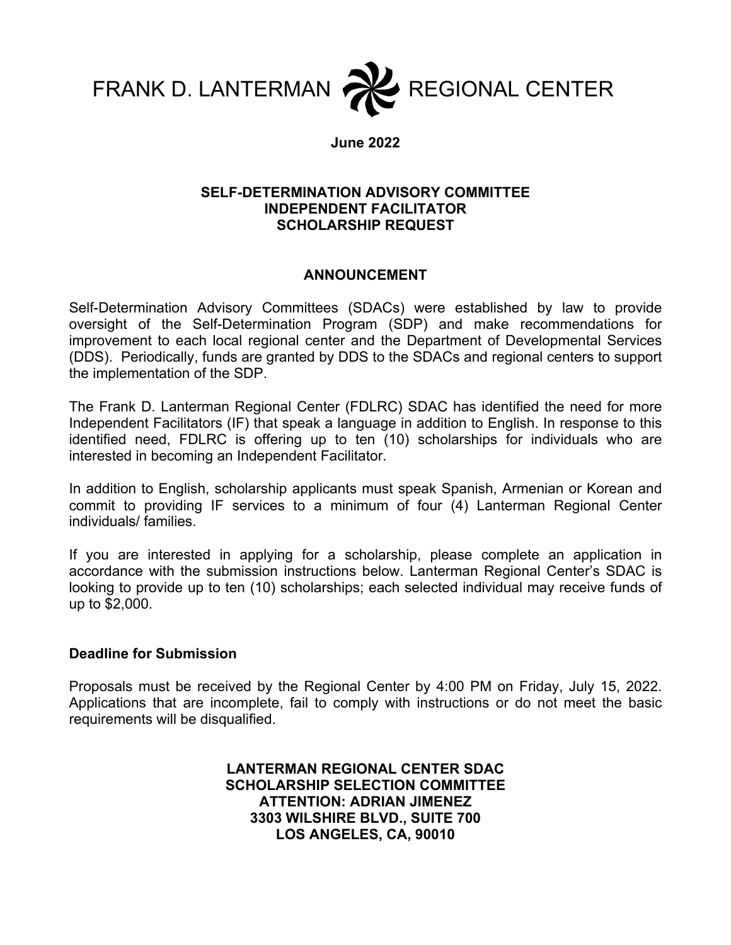

**June 2022**

## **SELF-DETERMINATION ADVISORY COMMITTEE INDEPENDENT FACILITATOR SCHOLARSHIP REQUEST**

## **ANNOUNCEMENT**

Self-Determination Advisory Committees (SDACs) were established by law to provide oversight of the Self-Determination Program (SDP) and make recommendations for improvement to each local regional center and the Department of Developmental Services (DDS). Periodically, funds are granted by DDS to the SDACs and regional centers to support the implementation of the SDP.

The Frank D. Lanterman Regional Center (FDLRC) SDAC has identified the need for more Independent Facilitators (IF) that speak a language in addition to English. In response to this identified need, FDLRC is offering up to ten (10) scholarships for individuals who are interested in becoming an Independent Facilitator.

In addition to English, scholarship applicants must speak Spanish, Armenian or Korean and commit to providing IF services to a minimum of four (4) Lanterman Regional Center individuals/ families.

If you are interested in applying for a scholarship, please complete an application in accordance with the submission instructions below. Lanterman Regional Center's SDAC is looking to provide up to ten (10) scholarships; each selected individual may receive funds of up to \$2,000.

## **Deadline for Submission**

Proposals must be received by the Regional Center by 4:00 PM on Friday, July 15, 2022. Applications that are incomplete, fail to comply with instructions or do not meet the basic requirements will be disqualified.

> **LANTERMAN REGIONAL CENTER SDAC SCHOLARSHIP SELECTION COMMITTEE ATTENTION: ADRIAN JIMENEZ 3303 WILSHIRE BLVD., SUITE 700 LOS ANGELES, CA, 90010**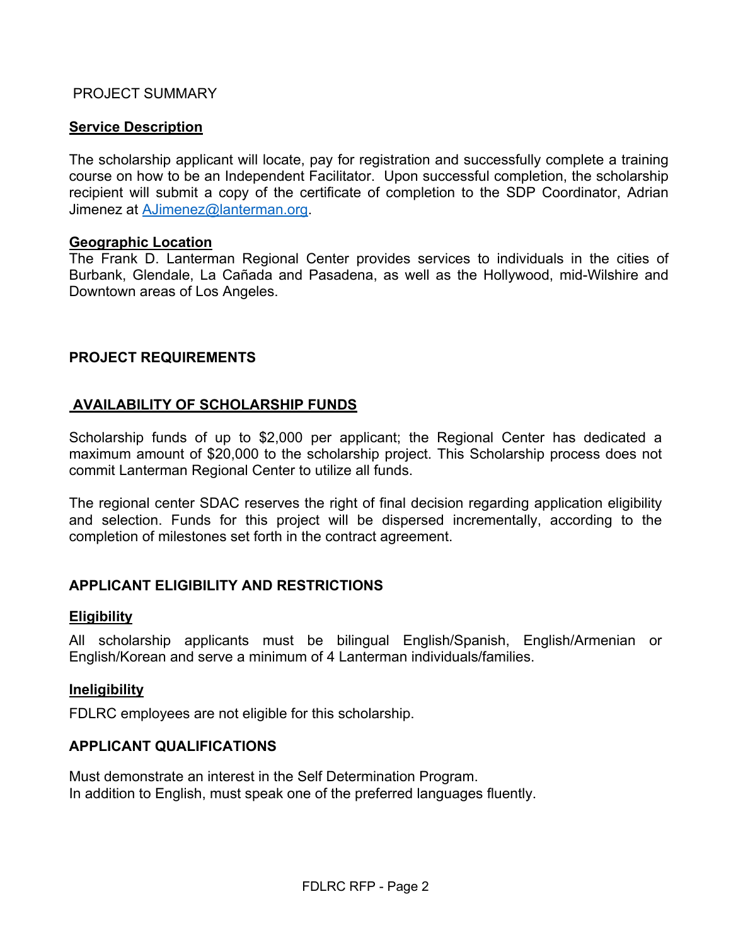## PROJECT SUMMARY

## **Service Description**

The scholarship applicant will locate, pay for registration and successfully complete a training course on how to be an Independent Facilitator. Upon successful completion, the scholarship recipient will submit a copy of the certificate of completion to the SDP Coordinator, Adrian Jimenez at AJimenez@lanterman.org.

#### **Geographic Location**

The Frank D. Lanterman Regional Center provides services to individuals in the cities of Burbank, Glendale, La Cañada and Pasadena, as well as the Hollywood, mid-Wilshire and Downtown areas of Los Angeles.

#### **PROJECT REQUIREMENTS**

#### **AVAILABILITY OF SCHOLARSHIP FUNDS**

Scholarship funds of up to \$2,000 per applicant; the Regional Center has dedicated a maximum amount of \$20,000 to the scholarship project. This Scholarship process does not commit Lanterman Regional Center to utilize all funds.

The regional center SDAC reserves the right of final decision regarding application eligibility and selection. Funds for this project will be dispersed incrementally, according to the completion of milestones set forth in the contract agreement.

## **APPLICANT ELIGIBILITY AND RESTRICTIONS**

#### **Eligibility**

All scholarship applicants must be bilingual English/Spanish, English/Armenian or English/Korean and serve a minimum of 4 Lanterman individuals/families.

#### **Ineligibility**

FDLRC employees are not eligible for this scholarship.

#### **APPLICANT QUALIFICATIONS**

Must demonstrate an interest in the Self Determination Program. In addition to English, must speak one of the preferred languages fluently.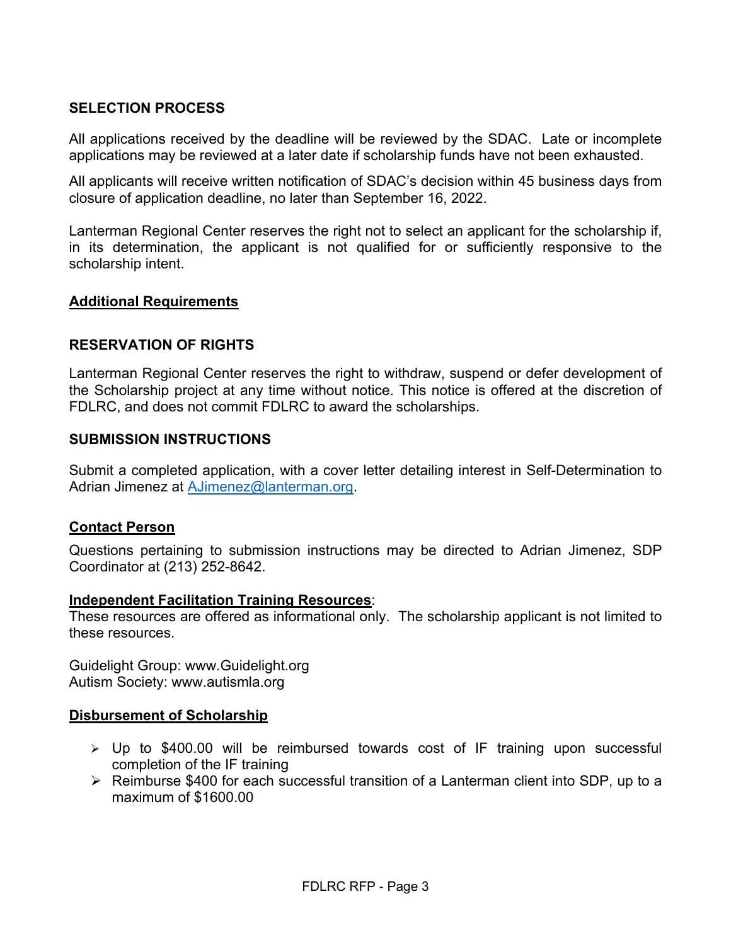## **SELECTION PROCESS**

All applications received by the deadline will be reviewed by the SDAC. Late or incomplete applications may be reviewed at a later date if scholarship funds have not been exhausted.

All applicants will receive written notification of SDAC's decision within 45 business days from closure of application deadline, no later than September 16, 2022.

Lanterman Regional Center reserves the right not to select an applicant for the scholarship if, in its determination, the applicant is not qualified for or sufficiently responsive to the scholarship intent.

## **Additional Requirements**

## **RESERVATION OF RIGHTS**

Lanterman Regional Center reserves the right to withdraw, suspend or defer development of the Scholarship project at any time without notice. This notice is offered at the discretion of FDLRC, and does not commit FDLRC to award the scholarships.

## **SUBMISSION INSTRUCTIONS**

Submit a completed application, with a cover letter detailing interest in Self-Determination to Adrian Jimenez at AJimenez@lanterman.org.

## **Contact Person**

Questions pertaining to submission instructions may be directed to Adrian Jimenez, SDP Coordinator at (213) 252-8642.

## **Independent Facilitation Training Resources**:

These resources are offered as informational only. The scholarship applicant is not limited to these resources.

Guidelight Group: www.Guidelight.org Autism Society: www.autismla.org

## **Disbursement of Scholarship**

- $\triangleright$  Up to \$400.00 will be reimbursed towards cost of IF training upon successful completion of the IF training
- $\triangleright$  Reimburse \$400 for each successful transition of a Lanterman client into SDP, up to a maximum of \$1600.00